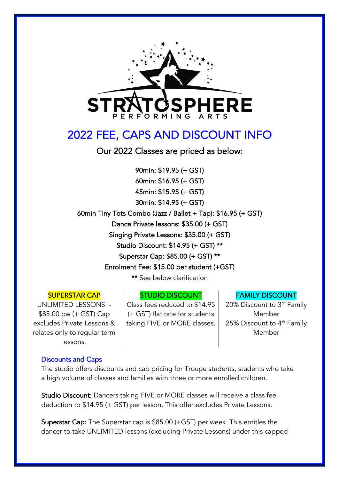

# 2022 FEE, CAPS AND DISCOUNT INFO

Our 2022 Classes are priced as below:

90min: \$19.95 (+ GST) 60min: \$16.95 (+ GST) 45min: \$15.95 (+ GST) 30min: \$14.95 (+ GST) 60min Tiny Tots Combo (Jazz / Ballet + Tap): \$16.95 (+ GST) Dance Private lessons: \$35.00 (+ GST) Singing Private Lessons: \$35.00 (+ GST) Studio Discount: \$14.95 (+ GST) \*\* Superstar Cap: \$85.00 (+ GST) \*\* Enrolment Fee: \$15.00 per student (+GST)

\*\* See below clarification

## SUPERSTAR CAP

UNLIMITED LESSONS - \$85.00 pw (+ GST) Cap excludes Private Lessons & relates only to regular term lessons.

#### STUDIO DISCOUNT

Class fees reduced to \$14.95 (+ GST) flat rate for students taking FIVE or MORE classes.

### FAMILY DISCOUNT

20% Discount to 3rd Family Member 25% Discount to  $4<sup>th</sup>$  Family Member

#### Discounts and Caps

The studio offers discounts and cap pricing for Troupe students, students who take a high volume of classes and families with three or more enrolled children.

Studio Discount: Dancers taking FIVE or MORE classes will receive a class fee deduction to \$14.95 (+ GST) per lesson. This offer excludes Private Lessons.

Superstar Cap: The Superstar cap is \$85.00 (+GST) per week. This entitles the dancer to take UNLIMITED lessons (excluding Private Lessons) under this capped